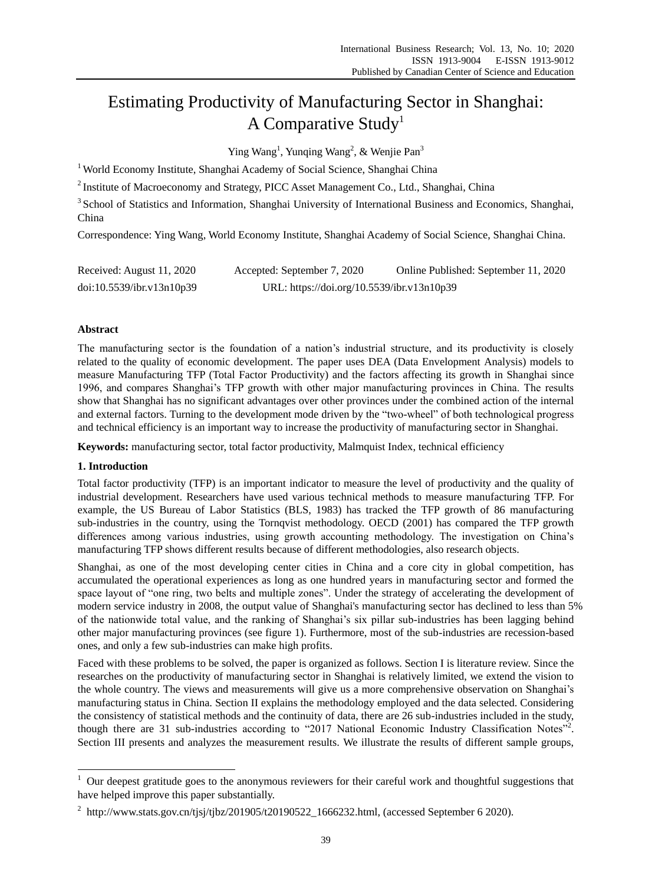# Estimating Productivity of Manufacturing Sector in Shanghai: A Comparative Study<sup>1</sup>

Ying Wang<sup>1</sup>, Yunqing Wang<sup>2</sup>, & Wenjie Pan<sup>3</sup>

<sup>1</sup> World Economy Institute, Shanghai Academy of Social Science, Shanghai China

<sup>2</sup> Institute of Macroeconomy and Strategy, PICC Asset Management Co., Ltd., Shanghai, China

<sup>3</sup> School of Statistics and Information, Shanghai University of International Business and Economics, Shanghai, China

Correspondence: Ying Wang, World Economy Institute, Shanghai Academy of Social Science, Shanghai China.

| Received: August 11, 2020 | Accepted: September 7, 2020                | Online Published: September 11, 2020 |
|---------------------------|--------------------------------------------|--------------------------------------|
| doi:10.5539/ibr.v13n10p39 | URL: https://doi.org/10.5539/ibr.v13n10p39 |                                      |

## **Abstract**

The manufacturing sector is the foundation of a nation's industrial structure, and its productivity is closely related to the quality of economic development. The paper uses DEA (Data Envelopment Analysis) models to measure Manufacturing TFP (Total Factor Productivity) and the factors affecting its growth in Shanghai since 1996, and compares Shanghai's TFP growth with other major manufacturing provinces in China. The results show that Shanghai has no significant advantages over other provinces under the combined action of the internal and external factors. Turning to the development mode driven by the "two-wheel" of both technological progress and technical efficiency is an important way to increase the productivity of manufacturing sector in Shanghai.

**Keywords:** manufacturing sector, total factor productivity, Malmquist Index, technical efficiency

### **1. Introduction**

-

Total factor productivity (TFP) is an important indicator to measure the level of productivity and the quality of industrial development. Researchers have used various technical methods to measure manufacturing TFP. For example, the US Bureau of Labor Statistics (BLS, 1983) has tracked the TFP growth of 86 manufacturing sub-industries in the country, using the Tornqvist methodology. OECD (2001) has compared the TFP growth differences among various industries, using growth accounting methodology. The investigation on China's manufacturing TFP shows different results because of different methodologies, also research objects.

Shanghai, as one of the most developing center cities in China and a core city in global competition, has accumulated the operational experiences as long as one hundred years in manufacturing sector and formed the space layout of "one ring, two belts and multiple zones". Under the strategy of accelerating the development of modern service industry in 2008, the output value of Shanghai's manufacturing sector has declined to less than 5% of the nationwide total value, and the ranking of Shanghai's six pillar sub-industries has been lagging behind other major manufacturing provinces (see figure 1). Furthermore, most of the sub-industries are recession-based ones, and only a few sub-industries can make high profits.

Faced with these problems to be solved, the paper is organized as follows. Section I is literature review. Since the researches on the productivity of manufacturing sector in Shanghai is relatively limited, we extend the vision to the whole country. The views and measurements will give us a more comprehensive observation on Shanghai's manufacturing status in China. Section II explains the methodology employed and the data selected. Considering the consistency of statistical methods and the continuity of data, there are 26 sub-industries included in the study, though there are 31 sub-industries according to "2017 National Economic Industry Classification Notes"<sup>2</sup>. Section III presents and analyzes the measurement results. We illustrate the results of different sample groups,

 $1$  Our deepest gratitude goes to the anonymous reviewers for their careful work and thoughtful suggestions that have helped improve this paper substantially.

<sup>&</sup>lt;sup>2</sup> http://www.stats.gov.cn/tjsj/tjbz/201905/t20190522\_1666232.html, (accessed September 6 2020).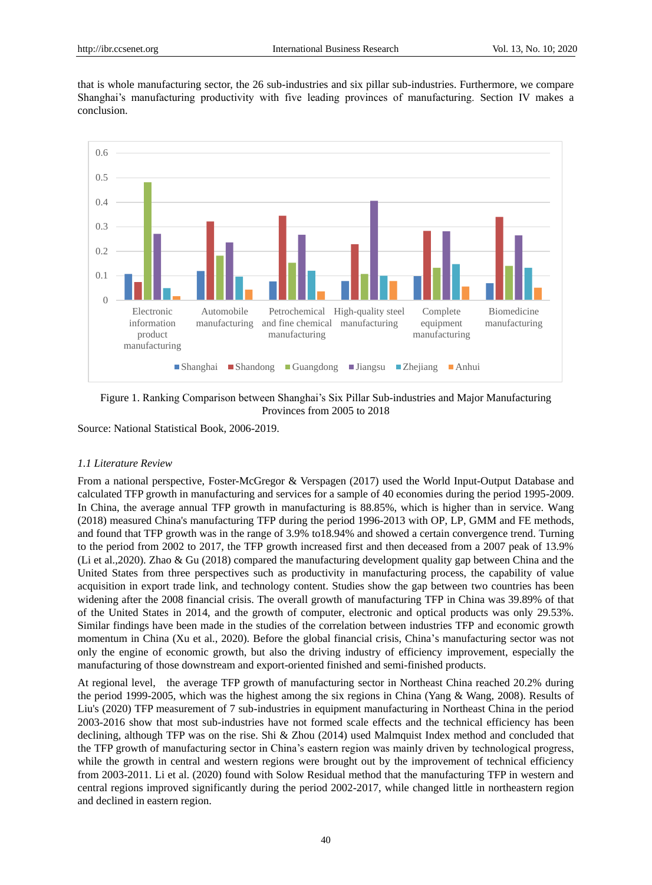that is whole manufacturing sector, the 26 sub-industries and six pillar sub-industries. Furthermore, we compare Shanghai's manufacturing productivity with five leading provinces of manufacturing. Section IV makes a conclusion.



Figure 1. Ranking Comparison between Shanghai's Six Pillar Sub-industries and Major Manufacturing Provinces from 2005 to 2018

Source: National Statistical Book, 2006-2019.

#### *1.1 Literature Review*

From a national perspective, Foster-McGregor & Verspagen (2017) used the World Input-Output Database and calculated TFP growth in manufacturing and services for a sample of 40 economies during the period 1995-2009. In China, the average annual TFP growth in manufacturing is 88.85%, which is higher than in service. Wang (2018) measured China's manufacturing TFP during the period 1996-2013 with OP, LP, GMM and FE methods, and found that TFP growth was in the range of 3.9% to18.94% and showed a certain convergence trend. Turning to the period from 2002 to 2017, the TFP growth increased first and then deceased from a 2007 peak of 13.9% (Li et al.,2020). Zhao & Gu (2018) compared the manufacturing development quality gap between China and the United States from three perspectives such as productivity in manufacturing process, the capability of value acquisition in export trade link, and technology content. Studies show the gap between two countries has been widening after the 2008 financial crisis. The overall growth of manufacturing TFP in China was 39.89% of that of the United States in 2014, and the growth of computer, electronic and optical products was only 29.53%. Similar findings have been made in the studies of the correlation between industries TFP and economic growth momentum in China (Xu et al., 2020). Before the global financial crisis, China's manufacturing sector was not only the engine of economic growth, but also the driving industry of efficiency improvement, especially the manufacturing of those downstream and export-oriented finished and semi-finished products.

At regional level, the average TFP growth of manufacturing sector in Northeast China reached 20.2% during the period 1999-2005, which was the highest among the six regions in China (Yang & Wang, 2008). Results of Liu's (2020) TFP measurement of 7 sub-industries in equipment manufacturing in Northeast China in the period 2003-2016 show that most sub-industries have not formed scale effects and the technical efficiency has been declining, although TFP was on the rise. Shi & Zhou (2014) used Malmquist Index method and concluded that the TFP growth of manufacturing sector in China's eastern region was mainly driven by technological progress, while the growth in central and western regions were brought out by the improvement of technical efficiency from 2003-2011. Li et al. (2020) found with Solow Residual method that the manufacturing TFP in western and central regions improved significantly during the period 2002-2017, while changed little in northeastern region and declined in eastern region.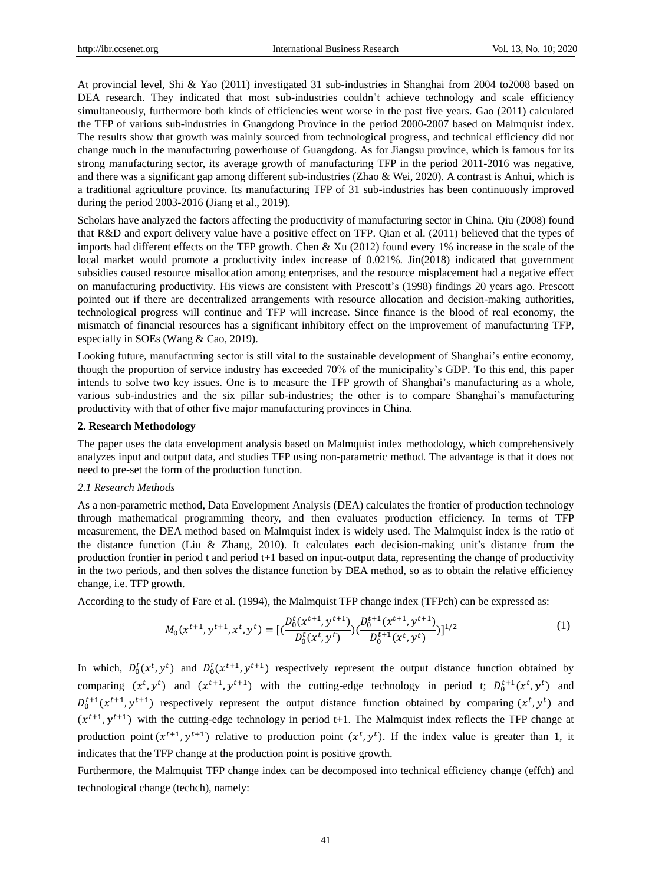At provincial level, Shi & Yao (2011) investigated 31 sub-industries in Shanghai from 2004 to2008 based on DEA research. They indicated that most sub-industries couldn't achieve technology and scale efficiency simultaneously, furthermore both kinds of efficiencies went worse in the past five years. Gao (2011) calculated the TFP of various sub-industries in Guangdong Province in the period 2000-2007 based on Malmquist index. The results show that growth was mainly sourced from technological progress, and technical efficiency did not change much in the manufacturing powerhouse of Guangdong. As for Jiangsu province, which is famous for its strong manufacturing sector, its average growth of manufacturing TFP in the period 2011-2016 was negative, and there was a significant gap among different sub-industries (Zhao & Wei, 2020). A contrast is Anhui, which is a traditional agriculture province. Its manufacturing TFP of 31 sub-industries has been continuously improved during the period 2003-2016 (Jiang et al., 2019).

Scholars have analyzed the factors affecting the productivity of manufacturing sector in China. Qiu (2008) found that R&D and export delivery value have a positive effect on TFP. Qian et al. (2011) believed that the types of imports had different effects on the TFP growth. Chen & Xu (2012) found every 1% increase in the scale of the local market would promote a productivity index increase of 0.021%. Jin(2018) indicated that government subsidies caused resource misallocation among enterprises, and the resource misplacement had a negative effect on manufacturing productivity. His views are consistent with Prescott's (1998) findings 20 years ago. Prescott pointed out if there are decentralized arrangements with resource allocation and decision-making authorities, technological progress will continue and TFP will increase. Since finance is the blood of real economy, the mismatch of financial resources has a significant inhibitory effect on the improvement of manufacturing TFP, especially in SOEs (Wang & Cao, 2019).

Looking future, manufacturing sector is still vital to the sustainable development of Shanghai's entire economy, though the proportion of service industry has exceeded 70% of the municipality's GDP. To this end, this paper intends to solve two key issues. One is to measure the TFP growth of Shanghai's manufacturing as a whole, various sub-industries and the six pillar sub-industries; the other is to compare Shanghai's manufacturing productivity with that of other five major manufacturing provinces in China.

#### **2. Research Methodology**

The paper uses the data envelopment analysis based on Malmquist index methodology, which comprehensively analyzes input and output data, and studies TFP using non-parametric method. The advantage is that it does not need to pre-set the form of the production function.

#### *2.1 Research Methods*

As a non-parametric method, Data Envelopment Analysis (DEA) calculates the frontier of production technology through mathematical programming theory, and then evaluates production efficiency. In terms of TFP measurement, the DEA method based on Malmquist index is widely used. The Malmquist index is the ratio of the distance function (Liu & Zhang, 2010). It calculates each decision-making unit's distance from the production frontier in period t and period t+1 based on input-output data, representing the change of productivity in the two periods, and then solves the distance function by DEA method, so as to obtain the relative efficiency change, i.e. TFP growth.

According to the study of Fare et al. (1994), the Malmquist TFP change index (TFPch) can be expressed as:

$$
M_0(x^{t+1}, y^{t+1}, x^t, y^t) = \left[ \left( \frac{D_0^t(x^{t+1}, y^{t+1})}{D_0^t(x^t, y^t)} \right) \left( \frac{D_0^{t+1}(x^{t+1}, y^{t+1})}{D_0^{t+1}(x^t, y^t)} \right) \right]^{1/2} \tag{1}
$$

In which,  $D_0^t(x^t, y^t)$  and  $D_0^t(x^{t+1}, y^{t+1})$  respectively represent the output distance function obtained by comparing  $(x^t, y^t)$  and  $(x^{t+1}, y^{t+1})$  with the cutting-edge technology in period t;  $D_0^{t+1}(x^t, y^t)$  and  $D_0^{t+1}(x^{t+1}, y^{t+1})$  respectively represent the output distance function obtained by comparing  $(x^t, y^t)$  and  $(x^{t+1}, y^{t+1})$  with the cutting-edge technology in period t+1. The Malmquist index reflects the TFP change at production point  $(x^{t+1}, y^{t+1})$  relative to production point  $(x^t, y^t)$ . If the index value is greater than 1, it indicates that the TFP change at the production point is positive growth.

Furthermore, the Malmquist TFP change index can be decomposed into technical efficiency change (effch) and technological change (techch), namely: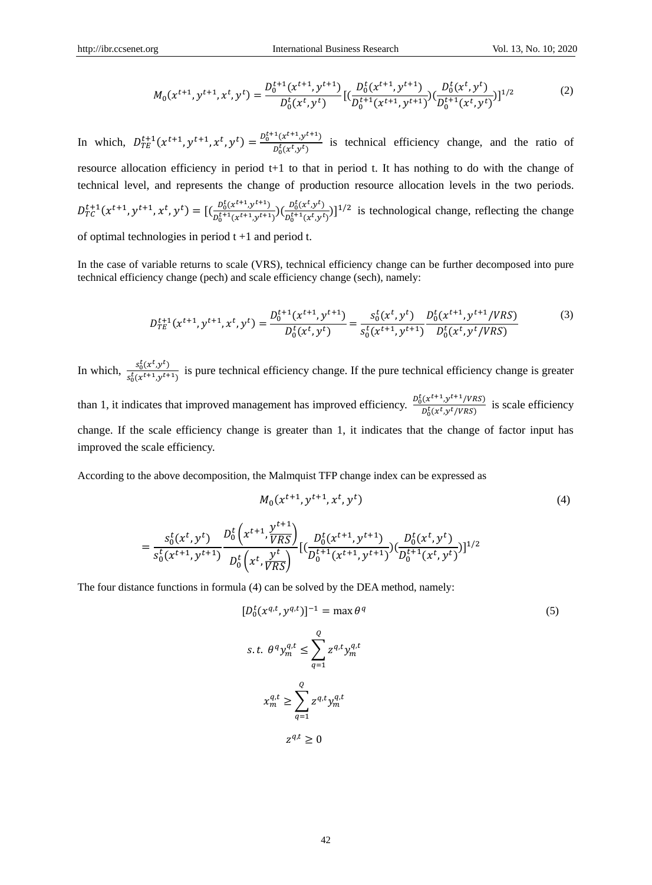$$
M_0(x^{t+1}, y^{t+1}, x^t, y^t) = \frac{D_0^{t+1}(x^{t+1}, y^{t+1})}{D_0^t(x^t, y^t)} \left[ \left( \frac{D_0^t(x^{t+1}, y^{t+1})}{D_0^{t+1}(x^{t+1}, y^{t+1})} \right) \left( \frac{D_0^t(x^t, y^t)}{D_0^{t+1}(x^t, y^t)} \right) \right]^{1/2}
$$
(2)

In which,  $D_{TE}^{t+1}(x^{t+1}, y^{t+1}, x^t, y^t) = \frac{D_0^{t+1}(x^{t+1}, y^{t+1})}{D_0^t(x^t, y^t)}$  $\frac{(x+y+y)}{D_0^t(x^t,y^t)}$  is technical efficiency change, and the ratio of resource allocation efficiency in period t+1 to that in period t. It has nothing to do with the change of technical level, and represents the change of production resource allocation levels in the two periods.  $D_0^t(x^{t+1}, y^{t+1})$ 

$$
D_{TC}^{t+1}(x^{t+1}, y^{t+1}, x^t, y^t) = [(\frac{D_0^t(x^{t+1}, y^{t+1})}{D_0^{t+1}(x^{t+1}, y^{t+1})})(\frac{D_0^t(x^t, y^t)}{D_0^{t+1}(x^t, y^t)})]^{1/2}
$$
 is technological change, reflecting the change

of optimal technologies in period  $t + 1$  and period t.

In the case of variable returns to scale (VRS), technical efficiency change can be further decomposed into pure technical efficiency change (pech) and scale efficiency change (sech), namely:

$$
D_{TE}^{t+1}(x^{t+1}, y^{t+1}, x^t, y^t) = \frac{D_0^{t+1}(x^{t+1}, y^{t+1})}{D_0^t(x^t, y^t)} = \frac{s_0^t(x^t, y^t)}{s_0^t(x^{t+1}, y^{t+1})} \frac{D_0^t(x^{t+1}, y^{t+1}/VRS)}{D_0^t(x^t, y^t/VRS)}
$$
(3)

In which,  $\frac{s_0^t(x^t, y^t)}{s_0^t(x^{t+1}, y^{t+1})}$  $\frac{30(x+y)}{s_0^t(x^{t+1},y^{t+1})}$  is pure technical efficiency change. If the pure technical efficiency change is greater than 1, it indicates that improved management has improved efficiency.  $\frac{D_0^t(x^{t+1}, y^{t+1}/VRS)}{D_0^t(x^{t+1}, y^{t+1}/VRS)}$  $\frac{D_0^t(x^t, y^t/VRS)}{D_0^t(x^t, y^t/VRS)}$  is scale efficiency change. If the scale efficiency change is greater than 1, it indicates that the change of factor input has improved the scale efficiency.

According to the above decomposition, the Malmquist TFP change index can be expressed as

 $\mathbf{1}$ 

$$
M_0(x^{t+1}, y^{t+1}, x^t, y^t) \tag{4}
$$

$$
= \frac{s_0^t(x^t, y^t)}{s_0^t(x^{t+1}, y^{t+1})} \frac{D_0^t(x^{t+1}, \overline{y^{t+1}})}{D_0^t(x^t, \overline{y^{t+1}})} \left[ \left( \frac{D_0^t(x^{t+1}, y^{t+1})}{D_0^{t+1}(x^{t+1}, y^{t+1})} \right) \left( \frac{D_0^t(x^t, y^t)}{D_0^{t+1}(x^t, y^t)} \right) \right]^{1/2}
$$

The four distance functions in formula (4) can be solved by the DEA method, namely:

$$
[D_0^t(x^{q,t}, y^{q,t})]^{-1} = \max \theta^q
$$
\n
$$
s.t. \theta^q y_m^{q,t} \le \sum_{q=1}^Q z^{q,t} y_m^{q,t}
$$
\n
$$
x_m^{q,t} \ge \sum_{q=1}^Q z^{q,t} y_m^{q,t}
$$
\n
$$
z^{q,t} \ge 0
$$
\n
$$
(5)
$$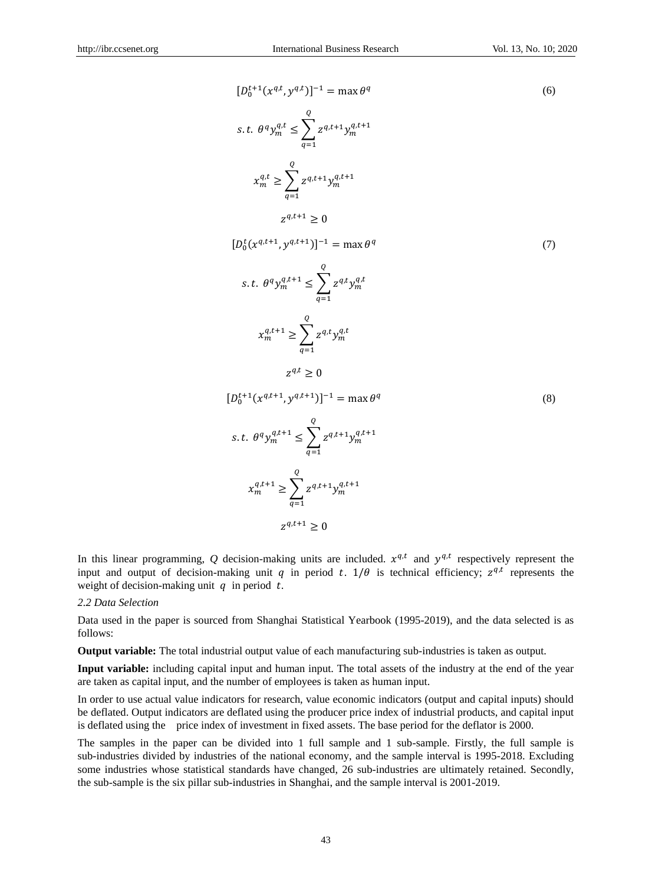$$
[D_{0}^{t+1}(x^{q,t}, y^{q,t})]^{-1} = \max \theta^{q}
$$
\n
$$
s.t. \theta^{q} y_{m}^{q,t} \leq \sum_{q=1}^{Q} z^{q,t+1} y_{m}^{q,t+1}
$$
\n
$$
x_{m}^{q,t} \geq \sum_{q=1}^{Q} z^{q,t+1} y_{m}^{q,t+1}
$$
\n
$$
z^{q,t+1} \geq 0
$$
\n
$$
[D_{0}^{t}(x^{q,t+1}, y^{q,t+1})]^{-1} = \max \theta^{q}
$$
\n
$$
s.t. \theta^{q} y_{m}^{q,t+1} \leq \sum_{q=1}^{Q} z^{q,t} y_{m}^{q,t}
$$
\n
$$
x_{m}^{q,t+1} \geq \sum_{q=1}^{Q} z^{q,t} y_{m}^{q,t}
$$
\n
$$
z^{q,t} \geq 0
$$
\n
$$
[D_{0}^{t+1}(x^{q,t+1}, y^{q,t+1})]^{-1} = \max \theta^{q}
$$
\n
$$
s.t. \theta^{q} y_{m}^{q,t+1} \leq \sum_{q=1}^{Q} z^{q,t+1} y_{m}^{q,t+1}
$$
\n
$$
x_{m}^{q,t+1} \geq \sum_{q=1}^{Q} z^{q,t+1} y_{m}^{q,t+1}
$$
\n
$$
x_{m}^{q,t+1} \geq \sum_{q=1}^{Q} z^{q,t+1} y_{m}^{q,t+1}
$$
\n(8)

 $z^q$ 

In this linear programming, Q decision-making units are included.  $x^{q,t}$  and  $y^{q,t}$  respectively represent the input and output of decision-making unit q in period t.  $1/\theta$  is technical efficiency;  $z^{q,t}$  represents the weight of decision-making unit  $q$  in period  $t$ .

#### *2.2 Data Selection*

Data used in the paper is sourced from Shanghai Statistical Yearbook (1995-2019), and the data selected is as follows:

**Output variable:** The total industrial output value of each manufacturing sub-industries is taken as output.

**Input variable:** including capital input and human input. The total assets of the industry at the end of the year are taken as capital input, and the number of employees is taken as human input.

In order to use actual value indicators for research, value economic indicators (output and capital inputs) should be deflated. Output indicators are deflated using the producer price index of industrial products, and capital input is deflated using the price index of investment in fixed assets. The base period for the deflator is 2000.

The samples in the paper can be divided into 1 full sample and 1 sub-sample. Firstly, the full sample is sub-industries divided by industries of the national economy, and the sample interval is 1995-2018. Excluding some industries whose statistical standards have changed, 26 sub-industries are ultimately retained. Secondly, the sub-sample is the six pillar sub-industries in Shanghai, and the sample interval is 2001-2019.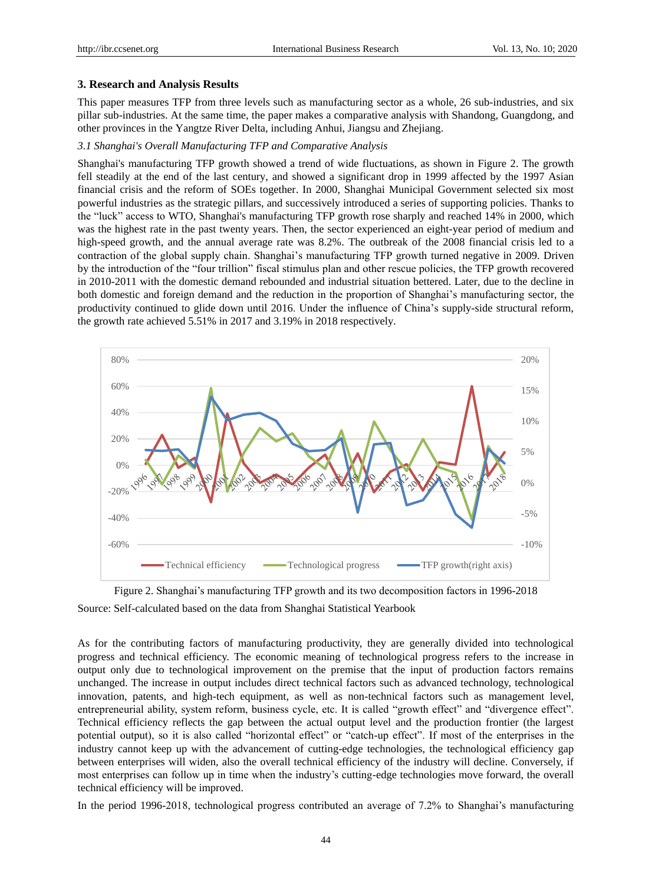#### **3. Research and Analysis Results**

This paper measures TFP from three levels such as manufacturing sector as a whole, 26 sub-industries, and six pillar sub-industries. At the same time, the paper makes a comparative analysis with Shandong, Guangdong, and other provinces in the Yangtze River Delta, including Anhui, Jiangsu and Zhejiang.

#### *3.1 Shanghai's Overall Manufacturing TFP and Comparative Analysis*

Shanghai's manufacturing TFP growth showed a trend of wide fluctuations, as shown in Figure 2. The growth fell steadily at the end of the last century, and showed a significant drop in 1999 affected by the 1997 Asian financial crisis and the reform of SOEs together. In 2000, Shanghai Municipal Government selected six most powerful industries as the strategic pillars, and successively introduced a series of supporting policies. Thanks to the "luck" access to WTO, Shanghai's manufacturing TFP growth rose sharply and reached 14% in 2000, which was the highest rate in the past twenty years. Then, the sector experienced an eight-year period of medium and high-speed growth, and the annual average rate was 8.2%. The outbreak of the 2008 financial crisis led to a contraction of the global supply chain. Shanghai's manufacturing TFP growth turned negative in 2009. Driven by the introduction of the "four trillion" fiscal stimulus plan and other rescue policies, the TFP growth recovered in 2010-2011 with the domestic demand rebounded and industrial situation bettered. Later, due to the decline in both domestic and foreign demand and the reduction in the proportion of Shanghai's manufacturing sector, the productivity continued to glide down until 2016. Under the influence of China's supply-side structural reform, the growth rate achieved 5.51% in 2017 and 3.19% in 2018 respectively.





As for the contributing factors of manufacturing productivity, they are generally divided into technological progress and technical efficiency. The economic meaning of technological progress refers to the increase in output only due to technological improvement on the premise that the input of production factors remains unchanged. The increase in output includes direct technical factors such as advanced technology, technological innovation, patents, and high-tech equipment, as well as non-technical factors such as management level, entrepreneurial ability, system reform, business cycle, etc. It is called "growth effect" and "divergence effect". Technical efficiency reflects the gap between the actual output level and the production frontier (the largest potential output), so it is also called "horizontal effect" or "catch-up effect". If most of the enterprises in the industry cannot keep up with the advancement of cutting-edge technologies, the technological efficiency gap between enterprises will widen, also the overall technical efficiency of the industry will decline. Conversely, if most enterprises can follow up in time when the industry's cutting-edge technologies move forward, the overall technical efficiency will be improved.

In the period 1996-2018, technological progress contributed an average of 7.2% to Shanghai's manufacturing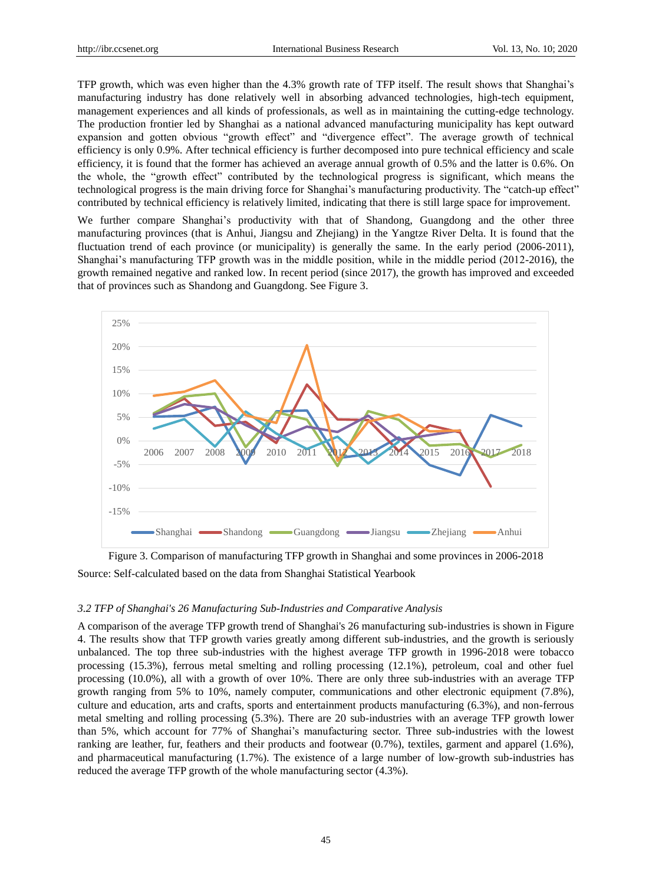TFP growth, which was even higher than the 4.3% growth rate of TFP itself. The result shows that Shanghai's manufacturing industry has done relatively well in absorbing advanced technologies, high-tech equipment, management experiences and all kinds of professionals, as well as in maintaining the cutting-edge technology. The production frontier led by Shanghai as a national advanced manufacturing municipality has kept outward expansion and gotten obvious "growth effect" and "divergence effect". The average growth of technical efficiency is only 0.9%. After technical efficiency is further decomposed into pure technical efficiency and scale efficiency, it is found that the former has achieved an average annual growth of 0.5% and the latter is 0.6%. On the whole, the "growth effect" contributed by the technological progress is significant, which means the technological progress is the main driving force for Shanghai's manufacturing productivity. The "catch-up effect" contributed by technical efficiency is relatively limited, indicating that there is still large space for improvement.

We further compare Shanghai's productivity with that of Shandong, Guangdong and the other three manufacturing provinces (that is Anhui, Jiangsu and Zhejiang) in the Yangtze River Delta. It is found that the fluctuation trend of each province (or municipality) is generally the same. In the early period (2006-2011), Shanghai's manufacturing TFP growth was in the middle position, while in the middle period (2012-2016), the growth remained negative and ranked low. In recent period (since 2017), the growth has improved and exceeded that of provinces such as Shandong and Guangdong. See Figure 3.



Figure 3. Comparison of manufacturing TFP growth in Shanghai and some provinces in 2006-2018 Source: Self-calculated based on the data from Shanghai Statistical Yearbook

#### *3.2 TFP of Shanghai's 26 Manufacturing Sub-Industries and Comparative Analysis*

A comparison of the average TFP growth trend of Shanghai's 26 manufacturing sub-industries is shown in Figure 4. The results show that TFP growth varies greatly among different sub-industries, and the growth is seriously unbalanced. The top three sub-industries with the highest average TFP growth in 1996-2018 were tobacco processing (15.3%), ferrous metal smelting and rolling processing (12.1%), petroleum, coal and other fuel processing (10.0%), all with a growth of over 10%. There are only three sub-industries with an average TFP growth ranging from 5% to 10%, namely computer, communications and other electronic equipment (7.8%), culture and education, arts and crafts, sports and entertainment products manufacturing (6.3%), and non-ferrous metal smelting and rolling processing (5.3%). There are 20 sub-industries with an average TFP growth lower than 5%, which account for 77% of Shanghai's manufacturing sector. Three sub-industries with the lowest ranking are leather, fur, feathers and their products and footwear (0.7%), textiles, garment and apparel (1.6%), and pharmaceutical manufacturing (1.7%). The existence of a large number of low-growth sub-industries has reduced the average TFP growth of the whole manufacturing sector (4.3%).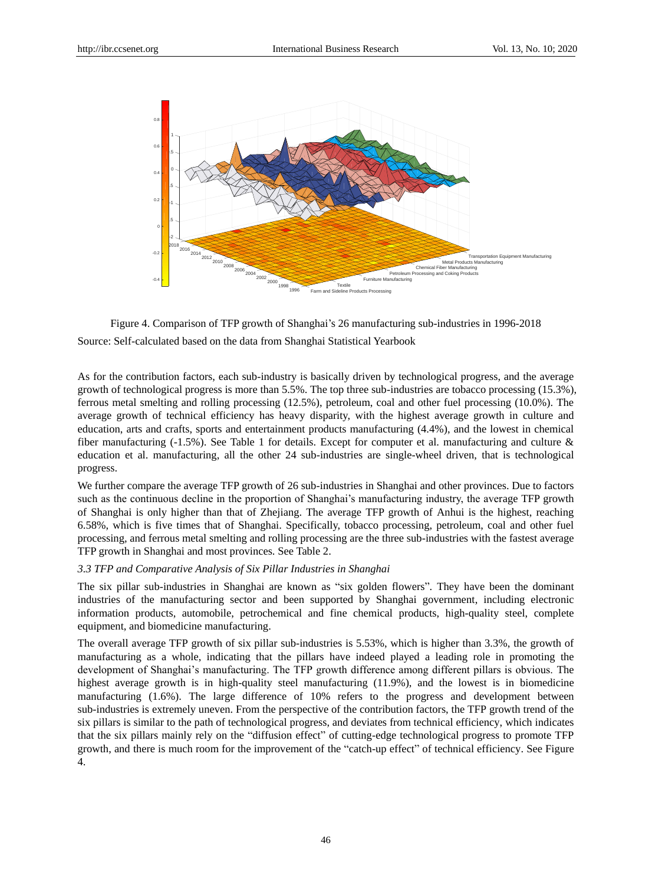

Figure 4. Comparison of TFP growth of Shanghai's 26 manufacturing sub-industries in 1996-2018 Source: Self-calculated based on the data from Shanghai Statistical Yearbook

As for the contribution factors, each sub-industry is basically driven by technological progress, and the average growth of technological progress is more than 5.5%. The top three sub-industries are tobacco processing (15.3%), ferrous metal smelting and rolling processing (12.5%), petroleum, coal and other fuel processing (10.0%). The average growth of technical efficiency has heavy disparity, with the highest average growth in culture and education, arts and crafts, sports and entertainment products manufacturing (4.4%), and the lowest in chemical fiber manufacturing (-1.5%). See Table 1 for details. Except for computer et al. manufacturing and culture & education et al. manufacturing, all the other 24 sub-industries are single-wheel driven, that is technological progress.

We further compare the average TFP growth of 26 sub-industries in Shanghai and other provinces. Due to factors such as the continuous decline in the proportion of Shanghai's manufacturing industry, the average TFP growth of Shanghai is only higher than that of Zhejiang. The average TFP growth of Anhui is the highest, reaching 6.58%, which is five times that of Shanghai. Specifically, tobacco processing, petroleum, coal and other fuel processing, and ferrous metal smelting and rolling processing are the three sub-industries with the fastest average TFP growth in Shanghai and most provinces. See Table 2.

#### *3.3 TFP and Comparative Analysis of Six Pillar Industries in Shanghai*

The six pillar sub-industries in Shanghai are known as "six golden flowers". They have been the dominant industries of the manufacturing sector and been supported by Shanghai government, including electronic information products, automobile, petrochemical and fine chemical products, high-quality steel, complete equipment, and biomedicine manufacturing.

The overall average TFP growth of six pillar sub-industries is 5.53%, which is higher than 3.3%, the growth of manufacturing as a whole, indicating that the pillars have indeed played a leading role in promoting the development of Shanghai's manufacturing. The TFP growth difference among different pillars is obvious. The highest average growth is in high-quality steel manufacturing (11.9%), and the lowest is in biomedicine manufacturing (1.6%). The large difference of 10% refers to the progress and development between sub-industries is extremely uneven. From the perspective of the contribution factors, the TFP growth trend of the six pillars is similar to the path of technological progress, and deviates from technical efficiency, which indicates that the six pillars mainly rely on the "diffusion effect" of cutting-edge technological progress to promote TFP growth, and there is much room for the improvement of the "catch-up effect" of technical efficiency. See Figure 4.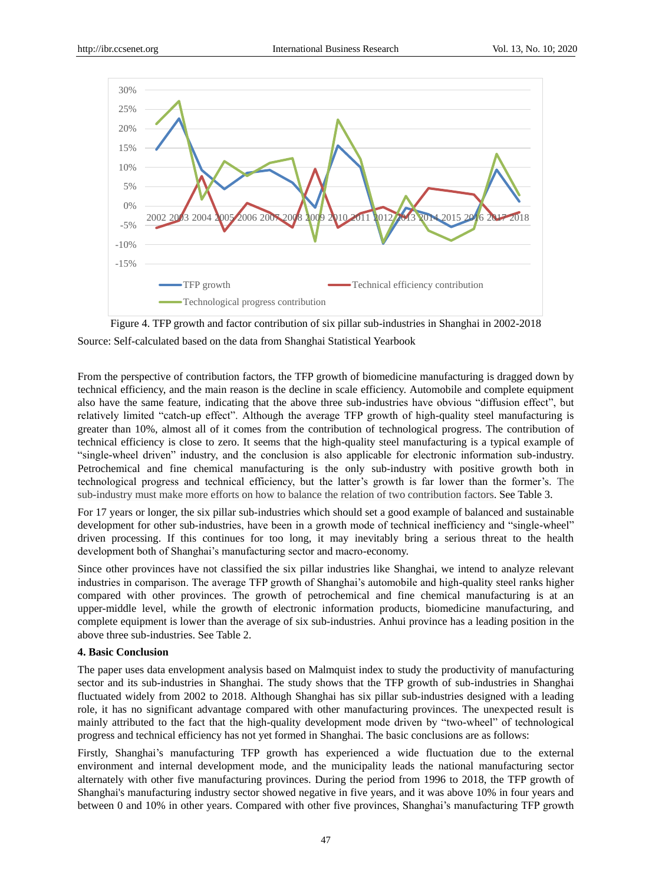

Figure 4. TFP growth and factor contribution of six pillar sub-industries in Shanghai in 2002-2018 Source: Self-calculated based on the data from Shanghai Statistical Yearbook

From the perspective of contribution factors, the TFP growth of biomedicine manufacturing is dragged down by technical efficiency, and the main reason is the decline in scale efficiency. Automobile and complete equipment also have the same feature, indicating that the above three sub-industries have obvious "diffusion effect", but relatively limited "catch-up effect". Although the average TFP growth of high-quality steel manufacturing is greater than 10%, almost all of it comes from the contribution of technological progress. The contribution of technical efficiency is close to zero. It seems that the high-quality steel manufacturing is a typical example of "single-wheel driven" industry, and the conclusion is also applicable for electronic information sub-industry. Petrochemical and fine chemical manufacturing is the only sub-industry with positive growth both in technological progress and technical efficiency, but the latter's growth is far lower than the former's. The sub-industry must make more efforts on how to balance the relation of two contribution factors. See Table 3.

For 17 years or longer, the six pillar sub-industries which should set a good example of balanced and sustainable development for other sub-industries, have been in a growth mode of technical inefficiency and "single-wheel" driven processing. If this continues for too long, it may inevitably bring a serious threat to the health development both of Shanghai's manufacturing sector and macro-economy.

Since other provinces have not classified the six pillar industries like Shanghai, we intend to analyze relevant industries in comparison. The average TFP growth of Shanghai's automobile and high-quality steel ranks higher compared with other provinces. The growth of petrochemical and fine chemical manufacturing is at an upper-middle level, while the growth of electronic information products, biomedicine manufacturing, and complete equipment is lower than the average of six sub-industries. Anhui province has a leading position in the above three sub-industries. See Table 2.

#### **4. Basic Conclusion**

The paper uses data envelopment analysis based on Malmquist index to study the productivity of manufacturing sector and its sub-industries in Shanghai. The study shows that the TFP growth of sub-industries in Shanghai fluctuated widely from 2002 to 2018. Although Shanghai has six pillar sub-industries designed with a leading role, it has no significant advantage compared with other manufacturing provinces. The unexpected result is mainly attributed to the fact that the high-quality development mode driven by "two-wheel" of technological progress and technical efficiency has not yet formed in Shanghai. The basic conclusions are as follows:

Firstly, Shanghai's manufacturing TFP growth has experienced a wide fluctuation due to the external environment and internal development mode, and the municipality leads the national manufacturing sector alternately with other five manufacturing provinces. During the period from 1996 to 2018, the TFP growth of Shanghai's manufacturing industry sector showed negative in five years, and it was above 10% in four years and between 0 and 10% in other years. Compared with other five provinces, Shanghai's manufacturing TFP growth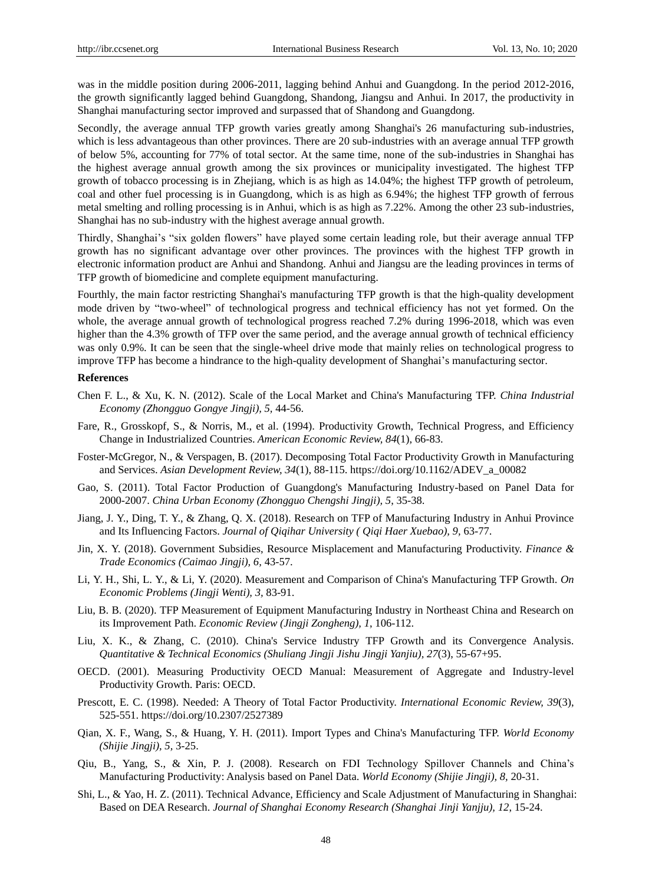was in the middle position during 2006-2011, lagging behind Anhui and Guangdong. In the period 2012-2016, the growth significantly lagged behind Guangdong, Shandong, Jiangsu and Anhui. In 2017, the productivity in Shanghai manufacturing sector improved and surpassed that of Shandong and Guangdong.

Secondly, the average annual TFP growth varies greatly among Shanghai's 26 manufacturing sub-industries, which is less advantageous than other provinces. There are 20 sub-industries with an average annual TFP growth of below 5%, accounting for 77% of total sector. At the same time, none of the sub-industries in Shanghai has the highest average annual growth among the six provinces or municipality investigated. The highest TFP growth of tobacco processing is in Zhejiang, which is as high as 14.04%; the highest TFP growth of petroleum, coal and other fuel processing is in Guangdong, which is as high as 6.94%; the highest TFP growth of ferrous metal smelting and rolling processing is in Anhui, which is as high as 7.22%. Among the other 23 sub-industries, Shanghai has no sub-industry with the highest average annual growth.

Thirdly, Shanghai's "six golden flowers" have played some certain leading role, but their average annual TFP growth has no significant advantage over other provinces. The provinces with the highest TFP growth in electronic information product are Anhui and Shandong. Anhui and Jiangsu are the leading provinces in terms of TFP growth of biomedicine and complete equipment manufacturing.

Fourthly, the main factor restricting Shanghai's manufacturing TFP growth is that the high-quality development mode driven by "two-wheel" of technological progress and technical efficiency has not yet formed. On the whole, the average annual growth of technological progress reached 7.2% during 1996-2018, which was even higher than the 4.3% growth of TFP over the same period, and the average annual growth of technical efficiency was only 0.9%. It can be seen that the single-wheel drive mode that mainly relies on technological progress to improve TFP has become a hindrance to the high-quality development of Shanghai's manufacturing sector.

#### **References**

- Chen F. L., & Xu, K. N. (2012). Scale of the Local Market and China's Manufacturing TFP. *China Industrial Economy (Zhongguo Gongye Jingji), 5,* 44-56.
- Fare, R., Grosskopf, S., & Norris, M., et al. (1994). Productivity Growth, Technical Progress, and Efficiency Change in Industrialized Countries. *American Economic Review, 84*(1), 66-83.
- Foster-McGregor, N., & Verspagen, B. (2017). Decomposing Total Factor Productivity Growth in Manufacturing and Services. *Asian Development Review, 34*(1), 88-115. https://doi.org/10.1162/ADEV\_a\_00082
- Gao, S. (2011). Total Factor Production of Guangdong's Manufacturing Industry-based on Panel Data for 2000-2007. *China Urban Economy (Zhongguo Chengshi Jingji), 5*, 35-38.
- Jiang, J. Y., Ding, T. Y., & Zhang, Q. X. (2018). Research on TFP of Manufacturing Industry in Anhui Province and Its Influencing Factors. *Journal of Qiqihar University ( Qiqi Haer Xuebao), 9,* 63-77.
- Jin, X. Y. (2018). Government Subsidies, Resource Misplacement and Manufacturing Productivity. *Finance & Trade Economics (Caimao Jingji), 6,* 43-57.
- Li, Y. H., Shi, L. Y., & Li, Y. (2020). Measurement and Comparison of China's Manufacturing TFP Growth. *On Economic Problems (Jingji Wenti), 3,* 83-91.
- Liu, B. B. (2020). TFP Measurement of Equipment Manufacturing Industry in Northeast China and Research on its Improvement Path. *Economic Review (Jingji Zongheng), 1*, 106-112.
- Liu, X. K., & Zhang, C. (2010). China's Service Industry TFP Growth and its Convergence Analysis. *Quantitative & Technical Economics (Shuliang Jingji Jishu Jingji Yanjiu), 27*(3), 55-67+95.
- OECD. (2001). Measuring Productivity OECD Manual: Measurement of Aggregate and Industry-level Productivity Growth. Paris: OECD.
- Prescott, E. C. (1998). Needed: A Theory of Total Factor Productivity. *International Economic Review, 39*(3), 525-551. https://doi.org/10.2307/2527389
- Qian, X. F., Wang, S., & Huang, Y. H. (2011). Import Types and China's Manufacturing TFP. *World Economy (Shijie Jingji), 5,* 3-25.
- Qiu, B., Yang, S., & Xin, P. J. (2008). Research on FDI Technology Spillover Channels and China's Manufacturing Productivity: Analysis based on Panel Data. *World Economy (Shijie Jingji), 8,* 20-31.
- Shi, L., & Yao, H. Z. (2011). Technical Advance, Efficiency and Scale Adjustment of Manufacturing in Shanghai: Based on DEA Research. *Journal of Shanghai Economy Research (Shanghai Jinji Yanjju), 12*, 15-24.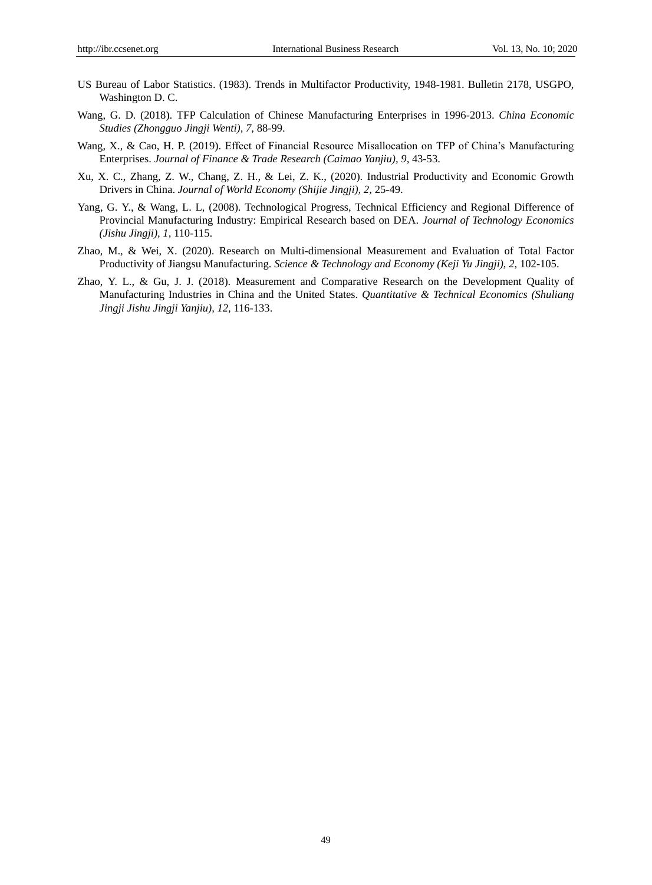- US Bureau of Labor Statistics. (1983). Trends in Multifactor Productivity, 1948-1981. Bulletin 2178, USGPO, Washington D. C.
- Wang, G. D. (2018). TFP Calculation of Chinese Manufacturing Enterprises in 1996-2013. *China Economic Studies (Zhongguo Jingji Wenti), 7,* 88-99.
- Wang, X., & Cao, H. P. (2019). Effect of Financial Resource Misallocation on TFP of China's Manufacturing Enterprises. *Journal of Finance & Trade Research (Caimao Yanjiu), 9,* 43-53.
- Xu, X. C., Zhang, Z. W., Chang, Z. H., & Lei, Z. K., (2020). Industrial Productivity and Economic Growth Drivers in China. *Journal of World Economy (Shijie Jingji), 2,* 25-49.
- Yang, G. Y., & Wang, L. L, (2008). Technological Progress, Technical Efficiency and Regional Difference of Provincial Manufacturing Industry: Empirical Research based on DEA. *Journal of Technology Economics (Jishu Jingji), 1,* 110-115.
- Zhao, M., & Wei, X. (2020). Research on Multi-dimensional Measurement and Evaluation of Total Factor Productivity of Jiangsu Manufacturing. *Science & Technology and Economy (Keji Yu Jingji), 2,* 102-105.
- Zhao, Y. L., & Gu, J. J. (2018). Measurement and Comparative Research on the Development Quality of Manufacturing Industries in China and the United States. *Quantitative & Technical Economics (Shuliang Jingji Jishu Jingji Yanjiu), 12,* 116-133.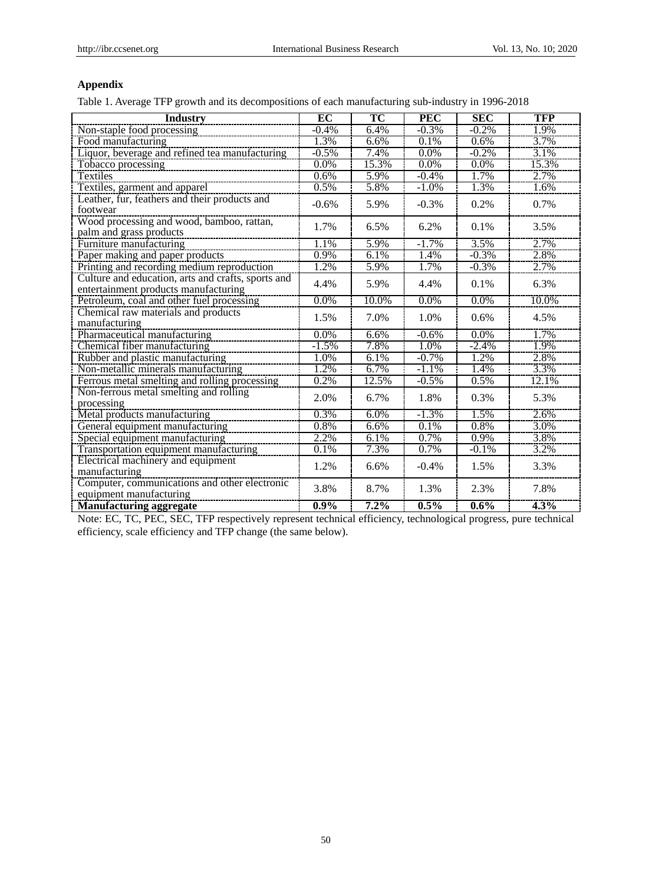## **Appendix**

Table 1. Average TFP growth and its decompositions of each manufacturing sub-industry in 1996-2018

| <b>Industry</b>                                    | EC      | TC                 | <b>PEC</b> | <b>SEC</b> | <b>TFP</b> |
|----------------------------------------------------|---------|--------------------|------------|------------|------------|
| Non-staple food processing                         | $-0.4%$ | 6.4%               | $-0.3%$    | $-0.2%$    | 1.9%       |
| Food manufacturing                                 | 1.3%    | 6.6%               | 0.1%       | 0.6%       | 3.7%       |
| Liquor, beverage and refined tea manufacturing     | $-0.5%$ | 7.4%               | 0.0%       | $-0.2%$    | 3.1%       |
| Tobacco processing                                 | 0.0%    | 15.3%              | $0.0\%$    | $0.0\%$    | 15.3%      |
| <b>Textiles</b>                                    | 0.6%    | 5.9%               | $-0.4%$    | 1.7%       | 2.7%       |
| Textiles, garment and apparel                      | 0.5%    | 5.8%               | $-1.0%$    | 1.3%       | 1.6%       |
| Leather, fur, feathers and their products and      | $-0.6%$ | 5.9%               | $-0.3%$    |            | 0.7%       |
| footwear                                           |         |                    |            | 0.2%       |            |
| Wood processing and wood, bamboo, rattan,          | 1.7%    | 6.5%               | 6.2%       | 0.1%       | 3.5%       |
| palm and grass products                            |         |                    |            |            |            |
| Furniture manufacturing                            | 1.1%    | 5.9%               | $-1.7%$    | 3.5%       | 2.7%       |
| Paper making and paper products                    | 0.9%    | 6.1%               | 1.4%       | $-0.3%$    | 2.8%       |
| Printing and recording medium reproduction         | 1.2%    | 5.9%               | 1.7%       | $-0.3%$    | 2.7%       |
| Culture and education, arts and crafts, sports and | 4.4%    | 5.9%               | 4.4%       | 0.1%       | 6.3%       |
| entertainment products manufacturing               |         |                    |            |            |            |
| Petroleum, coal and other fuel processing          | 0.0%    | 10.0%              | 0.0%       | 0.0%       | 10.0%      |
| Chemical raw materials and products                | 1.5%    | 7.0%               | 1.0%       | 0.6%       | 4.5%       |
| manufacturing                                      |         |                    |            |            |            |
| Pharmaceutical manufacturing                       | 0.0%    | 6.6%               | $-0.6%$    | 0.0%       | 1.7%       |
| Chemical fiber manufacturing                       | $-1.5%$ | 7.8%               | 1.0%       | $-2.4%$    | 1.9%       |
| Rubber and plastic manufacturing                   | 1.0%    | 6.1%               | $-0.7%$    | 1.2%       | 2.8%       |
| Non-metallic minerals manufacturing                | 1.2%    | 6.7%               | $-1.1%$    | 1.4%       | 3.3%       |
| Ferrous metal smelting and rolling processing      | 0.2%    | 12.5%              | $-0.5%$    | 0.5%       | 12.1%      |
| Non-ferrous metal smelting and rolling             | 2.0%    | 6.7%               | 1.8%       | 0.3%       | 5.3%       |
| processing                                         |         |                    |            |            |            |
| Metal products manufacturing                       | 0.3%    | 6.0%               | $-1.3%$    | 1.5%       | 2.6%       |
| General equipment manufacturing                    | 0.8%    | 6.6%               | 0.1%       | 0.8%       | 3.0%       |
| Special equipment manufacturing                    | 2.2%    | 6.1%               | 0.7%       | 0.9%       | 3.8%       |
| Transportation equipment manufacturing             | 0.1%    | $7.\overline{3\%}$ | 0.7%       | $-0.1%$    | 3.2%       |
| Electrical machinery and equipment                 | 1.2%    | 6.6%               | $-0.4%$    | 1.5%       | 3.3%       |
| manufacturing                                      |         |                    |            |            |            |
| Computer, communications and other electronic      | 3.8%    | 8.7%               | 1.3%       | 2.3%       | 7.8%       |
| equipment manufacturing                            |         |                    |            |            |            |
| <b>Manufacturing aggregate</b>                     | $0.9\%$ | 7.2%               | 0.5%       | $0.6\%$    | $4.3\%$    |

Note: EC, TC, PEC, SEC, TFP respectively represent technical efficiency, technological progress, pure technical efficiency, scale efficiency and TFP change (the same below).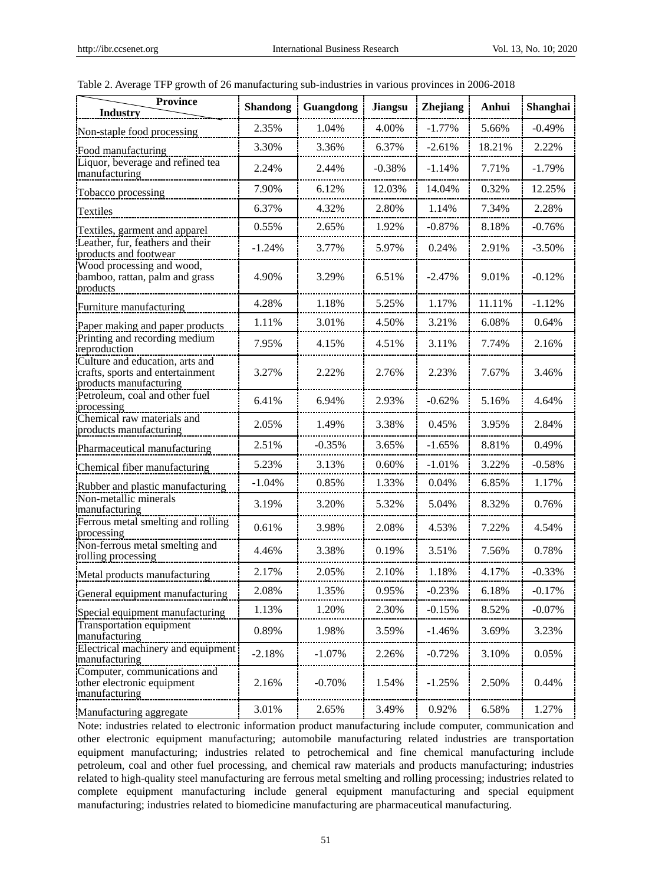| <b>Province</b><br><b>Industry</b>                                                            | <b>Shandong</b> | Guangdong | <b>Jiangsu</b> | <b>Zhejiang</b> | Anhui  | Shanghai |  |
|-----------------------------------------------------------------------------------------------|-----------------|-----------|----------------|-----------------|--------|----------|--|
| Non-staple food processing                                                                    | 2.35%           | 1.04%     | 4.00%          | $-1.77%$        | 5.66%  | $-0.49%$ |  |
| Food manufacturing                                                                            | 3.30%           | 3.36%     | 6.37%          | $-2.61%$        | 18.21% | 2.22%    |  |
| Liquor, beverage and refined tea<br>manufacturing                                             | 2.24%           | 2.44%     | $-0.38%$       | $-1.14%$        | 7.71%  | $-1.79%$ |  |
| Tobacco processing                                                                            | 7.90%           | 6.12%     | 12.03%         | 14.04%          | 0.32%  | 12.25%   |  |
| Textiles                                                                                      | 6.37%           | 4.32%     | 2.80%          | 1.14%           | 7.34%  | 2.28%    |  |
| Textiles, garment and apparel                                                                 | 0.55%           | 2.65%     | 1.92%          | $-0.87%$        | 8.18%  | $-0.76%$ |  |
| Leather, fur, feathers and their<br>products and footwear                                     | $-1.24%$        | 3.77%     | 5.97%          | 0.24%           | 2.91%  | $-3.50%$ |  |
| Wood processing and wood,<br>bamboo, rattan, palm and grass<br>products                       | 4.90%           | 3.29%     | 6.51%          | $-2.47%$        | 9.01%  | $-0.12%$ |  |
| Furniture manufacturing                                                                       | 4.28%           | 1.18%     | 5.25%          | 1.17%           | 11.11% | $-1.12%$ |  |
| Paper making and paper products                                                               | 1.11%           | 3.01%     | 4.50%          | 3.21%           | 6.08%  | 0.64%    |  |
| Printing and recording medium<br>reproduction                                                 | 7.95%           | 4.15%     | 4.51%          | 3.11%           | 7.74%  | 2.16%    |  |
| Culture and education, arts and<br>crafts, sports and entertainment<br>products manufacturing | 3.27%           | 2.22%     | 2.76%          | 2.23%           | 7.67%  | 3.46%    |  |
| Petroleum, coal and other fuel<br>processing                                                  | 6.41%           | 6.94%     | 2.93%          | $-0.62%$        | 5.16%  | 4.64%    |  |
| Chemical raw materials and<br>products manufacturing                                          | 2.05%           | 1.49%     | 3.38%          | 0.45%           | 3.95%  | 2.84%    |  |
| Pharmaceutical manufacturing                                                                  | 2.51%           | $-0.35%$  | 3.65%          | $-1.65%$        | 8.81%  | 0.49%    |  |
| Chemical fiber manufacturing                                                                  | 5.23%           | 3.13%     | 0.60%          | $-1.01%$        | 3.22%  | $-0.58%$ |  |
| Rubber and plastic manufacturing                                                              | $-1.04%$        | 0.85%     | 1.33%          | 0.04%           | 6.85%  | 1.17%    |  |
| Non-metallic minerals<br>manufacturing                                                        | 3.19%           | 3.20%     | 5.32%          | 5.04%           | 8.32%  | 0.76%    |  |
| Ferrous metal smelting and rolling<br>processing                                              | 0.61%           | 3.98%     | 2.08%          | 4.53%           | 7.22%  | 4.54%    |  |
| Non-ferrous metal smelting and<br>rolling processing                                          | 4.46%           | 3.38%     | 0.19%          | 3.51%           | 7.56%  | 0.78%    |  |
| Metal products manufacturing                                                                  | 2.17%           | 2.05%     | 2.10%          | 1.18%           | 4.17%  | $-0.33%$ |  |
| General equipment manufacturing                                                               | 2.08%           | 1.35%     | 0.95%          | $-0.23%$        | 6.18%  | $-0.17%$ |  |
| Special equipment manufacturing                                                               | 1.13%           | 1.20%     | 2.30%          | $-0.15%$        | 8.52%  | $-0.07%$ |  |
| Transportation equipment<br>manufacturing                                                     | 0.89%           | 1.98%     | 3.59%          | $-1.46%$        | 3.69%  | 3.23%    |  |
| Electrical machinery and equipment<br>manufacturing                                           | $-2.18%$        | $-1.07%$  | 2.26%          | $-0.72%$        | 3.10%  | 0.05%    |  |
| Computer, communications and<br>other electronic equipment<br>manufacturing                   | 2.16%           | $-0.70%$  | 1.54%          | $-1.25%$        | 2.50%  | 0.44%    |  |
| Manufacturing aggregate                                                                       | 3.01%           | 2.65%     | 3.49%          | 0.92%           | 6.58%  | 1.27%    |  |

Table 2. Average TFP growth of 26 manufacturing sub-industries in various provinces in 2006-2018

Note: industries related to electronic information product manufacturing include computer, communication and other electronic equipment manufacturing; automobile manufacturing related industries are transportation equipment manufacturing; industries related to petrochemical and fine chemical manufacturing include petroleum, coal and other fuel processing, and chemical raw materials and products manufacturing; industries related to high-quality steel manufacturing are ferrous metal smelting and rolling processing; industries related to complete equipment manufacturing include general equipment manufacturing and special equipment manufacturing; industries related to biomedicine manufacturing are pharmaceutical manufacturing.